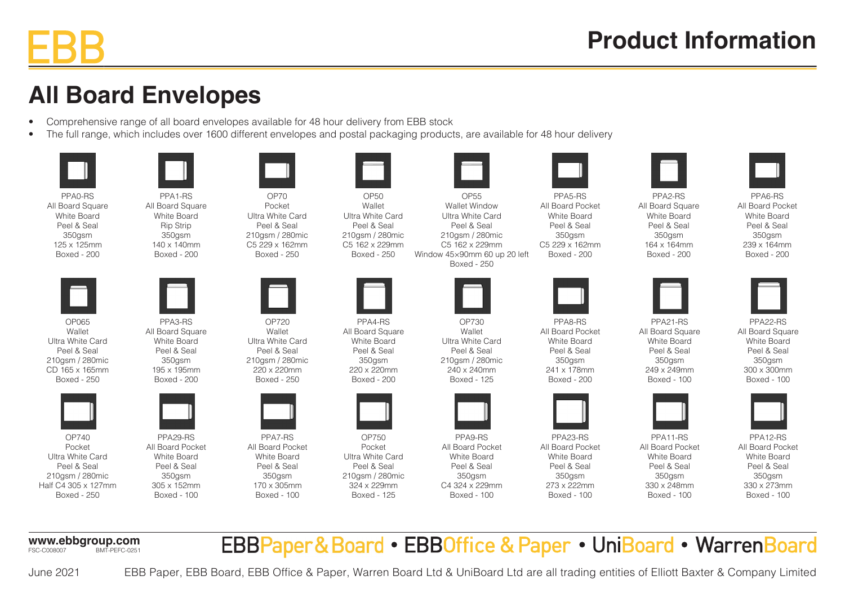## **All Board Envelopes**

- Comprehensive range of all board envelopes available for 48 hour delivery from EBB stock
- The full range, which includes over 1600 different envelopes and postal packaging products, are available for 48 hour delivery

PPA0-RS All Board Square White Board Peel & Seal 350gsm 125 x 125mm Boxed - 200



OP065 Wallet Ultra White Card Peel & Seal 210gsm / 280mic CD 165 x 165mm Boxed - 250



OP740 Pocket Ultra White Card Peel & Seal 210gsm / 280mic Half C4 305 x 127mm Boxed - 250

PPA29-RS All Board Pocket White Board Peel & Seal 350gsm 305 x 152mm Boxed - 100



OP70 Pocket Ultra White Card Peel & Seal 210gsm / 280mic C5 229 x 162mm Boxed - 250



PPA3-RS All Board Square White Board Peel & Seal 350asm 195 x 195mm Boxed - 200

PPA1-RS All Board Square White Board Rip Strip  $350$ asm 140 x 140mm Boxed - 200

OP720 Wallet Ultra White Card Peel & Seal 210gsm / 280mic 220 x 220mm Boxed - 250



PPA7-RS All Board Pocket White Board Peel & Seal 350gsm 170 x 305mm Boxed - 100



OP50 **Wallet** Ultra White Card Peel & Seal 210gsm / 280mic C5 162 x 229mm Boxed - 250



PPA4-RS All Board Square White Board Peel & Seal 350gsm 220 x 220mm Boxed - 200



OP750 Pocket Ultra White Card Peel & Seal 210gsm / 280mic 324 x 229mm Boxed - 125

OP730 Wallet Ultra White Card Peel & Seal 210gsm / 280mic 240 x 240mm Boxed - 125

PPA9-RS All Board Pocket White Board Peel & Seal 350gsm C4 324 x 229mm Boxed - 100

OP55 Wallet Window Ultra White Card Peel & Seal 210gsm / 280mic C5 162 x 229mm Window 45×90mm 60 up 20 left

Boxed - 250

PPA8-RS

All Board Pocket White Board Peel & Seal 350asm 241 x 178mm Boxed - 200

PPA5-RS All Board Pocket White Board Peel & Seal 350gsm C5 229 x 162mm Boxed - 200



PPA23-RS All Board Pocket White Board Peel & Seal 350gsm 273 x 222mm Boxed - 100



PPA6-RS

All Board Square White Board Peel & Seal 350gsm 164 x 164mm Boxed - 200 All Board Pocket



White Board Peel & Seal 350gsm 239 x 164mm Boxed - 200

PPA22-RS All Board Square White Board Peel & Seal 350asm 300 x 300mm Boxed - 100

PPA21-RS All Board Square White Board Peel & Seal 350gsm 249 x 249mm Boxed - 100



PPA11-RS All Board Pocket White Board Peel & Seal 350gsm 330 x 248mm Boxed - 100



PPA12-RS All Board Pocket White Board Peel & Seal 350gsm 330 x 273mm Boxed - 100

**www.ebbgroup.com**<br>**ESC-C008007** BMT-PFEC-0251 BMT-PFFC-0251 EBBPaper&Board • EBBOffice & Paper • UniBoard • WarrenBoard



EBB Paper, EBB Board, EBB Office & Paper, Warren Board Ltd & UniBoard Ltd are all trading entities of Elliott Baxter & Company Limited